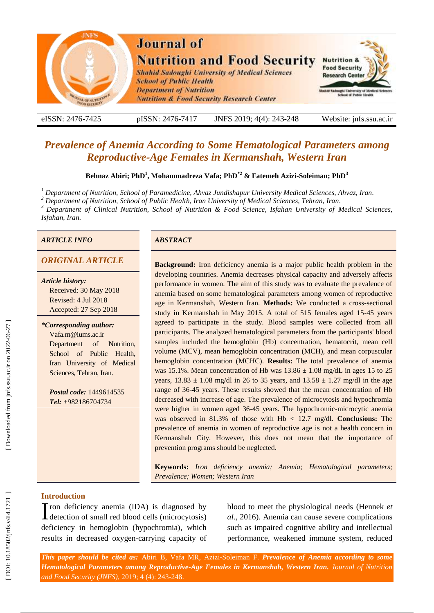

eISSN: 2476-7425 pISSN: 2476-7417 -7417 JNFS 201 9; 4 ( 4): 243 Website: jnfs.ssu.ac.ir

# *Prevalence of Anemia According to Some Hematological Parameters among Reproductive -Age Females in Kermanshah, Western Iran*

**Behnaz Abiri; PhD 1 , Mohammadreza Vafa; PhD \* 2 & Fatemeh Azizi -Soleiman; PhD 3**

*<sup>1</sup> Department of Nutrition, School of Paramedicine, Ahvaz Jundishapur University Medical Sciences, Ahvaz, Iran .*

*<sup>2</sup> Department of Nutrition, School of Public Health, Iran University of Medical Sciences, Tehran, Iran .*

*<sup>3</sup> Department of Clinical Nutrition, School of Nutrition & Food Science, Isfahan University of Medical Sciences, Isfahan, Iran .*

## *ARTICLE INFO ABSTRACT*

*Article history:* Received: 30 May 2018 Revised: 4 Jul 2018 Accepted: 27 Sep 2018

*\*Corresponding author:* Vafa.m@iums.ac.ir Department of Nutrition, School of Public Health, Iran University of Medical Sciences, Tehran, Iran .

*Postal code:* 1449614535 *Tel:* +982186704734

*ORIGINAL ARTICLE* **Background:** Iron deficiency anemia is a major public health problem in the developing countries. Anemia decreases physical capacity and adversely affects performance in women. The aim of this study was to evaluate the prevalence of anemia based on some hematological parameters among women of reproductive age in Kermanshah, Western Iran. **Methods:** We conducted a cross -sectional study in Kermanshah in May 2015. A total of 515 females aged 15 -45 years agreed to participate in the study. Blood samples were collected from all participants. The analyzed hematological parameters from the participants' blood samples included the hemoglobin (Hb) concentration, hematocrit, mean cell volume (MCV), mean hemoglobin concentration (MCH), and mean corpuscular hemoglobin concentration (MCHC). **Results:** The total prevalence of anemia was 15.1%. Mean concentration of Hb was  $13.86 \pm 1.08$  mg/dL in ages 15 to 25 years,  $13.83 \pm 1.08$  mg/dl in 26 to 35 years, and  $13.58 \pm 1.27$  mg/dl in the age range of 36 -45 years. These results showed that the mean concentration of Hb decreased with increase of age. The prevalence of microcytosis and hypochromia were higher in women aged 36-45 years. The hypochromic-microcytic anemia was observed in 81.3% of those with Hb < 12.7 mg/d l. **Conclusions:** The prevalence of anemia in women of reproductive age is not a health concern in Kermanshah City. However, this does not mean that the importance of prevention programs should be neglected.

> **Keywords:** *Iron deficiency anemia ; Anemia ; Hematological parameters ; Prevalence ; Women ; Western Iran*

## **Introduction**

Tron deficiency anemia (IDA) is diagnosed by If the deficiency anemia (IDA) is diagnosed by detection of small red blood cells (microcytosis) deficiency in hemoglobin (hypochromia), which results in decreased oxygen -carrying capacity of

blood to meet the physiological needs (Hennek *et al.*, 2016 ). Anemia can cause severe complications such as impaired cognitive ability and intellectual performance, weakened immune system, reduced

*This paper should be cited as:* Abiri B, Vafa MR, Azizi -Soleiman F . *Prevalence of Anemia according to some Hematological Parameters among Reproductive -Age Females in Kermanshah, Western Iran. Journal of Nutrition and Food Security (JNFS)*, 201 9; 4 (4): 243 -248.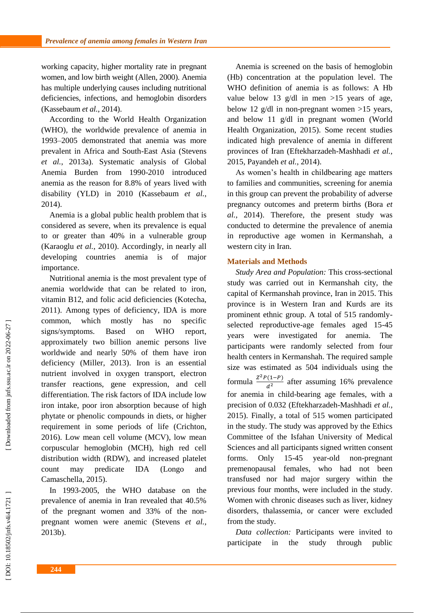working capacity, higher mortality rate in pregnant women, and low birth weight (Allen, 2000 ). Anemia has multiple underlying causes including nutritional deficiencies, infections , and hemoglobin disorders (Kassebaum *et al.*, 2014 ).

According to the World Health Organization (WHO), the worldwide prevalence of anemia in 1993 –2005 demonstrated that anemia was more prevalent in Africa and South -East Asia (Stevens *et al.*, 2013a ). Systematic analysis of Global Anemia Burden from 1990 -2010 introduced anemia as the reason for 8.8% of years lived with disability (YLD) in 2010 (Kassebaum *et al.*, 2014 ) .

Anemia is a global public health problem that is considered as severe , when its prevalence is equal to or greater than 40% in a vulnerable group (Karaoglu *et al.*, 2010). Accordingly, in nearly all developing countries anemia is of major importance.

Nutritional anemia is the most prevalent type of anemia worldwide that can be related to iron, vitamin B12 , and folic acid deficiencies (Kotecha, 2011 ). Among types of deficiency, IDA is more common , which mostly has no specific signs/symptoms. Based on WHO report, approximately two billion anemic persons live worldwide and nearly 50% of them have iron deficiency (Miller, 2013 ). Iron is an essential nutrient involved in oxygen transport, electron transfer reactions, gene expression, and cell differentiation. The risk factors of IDA include low iron intake, poor iron absorption because of high phytate or phenolic compounds in diets, or higher requirement in some periods of life (Crichton, 2016 ). Low mean cell volume (MCV), low mean corpuscular hemoglobin (MCH), high red cell distribution width (RDW), and increased platelet count may predicate IDA (Longo and Camaschella, 2015 ) .

In 1993 -2005, the WHO database on the prevalence of anemia in Iran revealed that 40.5% of the pregnant women and 33% of the non pregnant women were anemic (Stevens *et al.*, 2013b ).

Anemia is screened on the basis of hemoglobin (Hb ) concentration at the population level. The WHO definition of anemia is as follows: A Hb value below 13 g/dl in men >15 years of age, below 12 g/dl in non -pregnant women >15 years, and below 11 g/dl in pregnant women (World Health Organization, 2015 ). Some recent studies indicated high prevalence of anemia in different provinces of Iran (Eftekharzadeh -Mashhadi *et al.*, 2015, Payandeh *et al.*, 2014 ) .

As women's health in childbearing age matters to families and communities, screening for anemia in this group can prevent the probability of adverse pregnancy outcomes and preterm births (Bora *et al.*, 2014 ). Therefore, the present study was conducted to determine the prevalence of anemia in reproductive age women in Kermanshah, a western city in Iran.

## **Materials and Methods**

*Study Area and Population :* This cross -sectional study was carried out in Kermanshah city, the capital of Kermanshah province , Iran in 2015. This province is in Western Iran and Kurds are its prominent ethnic group. A total of 515 randomly selected reproductive -age females aged 15 -45 years were investigated for anemia. The participants were randomly selected from four health centers in Kermanshah. The required sample size was estimated as 504 individuals using the formula  $\frac{Z^2 P(1-P)}{d^2}$  $\frac{(1-r)}{a^2}$  after assuming 16% prevalence for anemia in child -bearing age females, with a precision of 0.032 (Eftekharzadeh -Mashhadi *et al.*, 2015 ). Finally, a total of 515 women participated in the study. The study was approved by the Ethics Committee of the Isfahan University of Medical Sciences and all participants signed written consent forms. Only 15-45 -45 year -old non -pregnant premenopausal females, who had not been transfused nor had major surgery within the previous four months, were included in the study. Women with chronic diseases such as liver, kidney disorders, thalassemia , or cancer were excluded from the study.

*Data collection :* Participants were invited to participate in the study through public

Downloaded from jnfs.ssu.ac.ir on 2022-06-27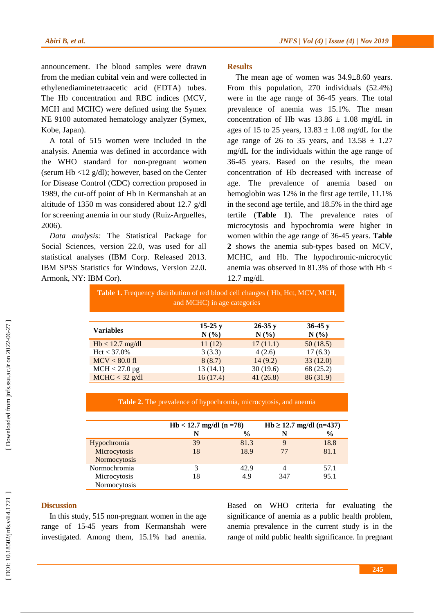announcement. The blood samples were drawn from the median cubital vein and were collected in ethylenediaminetetraacetic acid (EDTA) tubes. The Hb concentration and RBC indices (MCV, MCH and MCHC) were defined using the Symex NE 9100 automated hematology analyzer (Symex, Kobe, Japan).

A total of 515 women were included in the analysis. Anemia was defined in accordance with the WHO standard for non -pregnant women (serum Hb <12 g/dl); however, based on the Center for Disease Control (CDC) correction proposed in 1989, the cut -off point of Hb in Kermanshah at an altitude of 1350 m was considered about 12.7 g/dl for screening anemia in our study (Ruiz -Arguelles, 2006 ) .

*Data analysis :* The Statistical Package for Social Sciences, version 22.0, was used for all statistical analyses (IBM Corp. Released 2013. IBM SPSS Statistics for Windows, Version 22.0. Armonk, NY: IBM Cor).

## **Results**

The mean age of women was 34.9±8.60 years. From this population, 270 individuals (52.4%) were in the age range of 36 -45 years. The total prevalence of anemia was 15.1%. The mean concentration of Hb was  $13.86 \pm 1.08$  mg/dL in ages of 15 to 25 years,  $13.83 \pm 1.08$  mg/dL for the age range of 26 to 35 years, and  $13.58 \pm 1.27$ mg/dL for the individuals within the age range of 36 -45 years. Based on the results, the mean concentration of Hb decreased with increase of age. The prevalence of anemia based on hemoglobin was 12% in the first age tertile, 11.1% in the second age tertile, and 18.5% in the third age tertile (**Table 1**). The prevalence rates of microcytosis and hypochromia were higher in women within the age range of 36 -45 years. **Table 2** shows the anemia sub -types based on MCV, MCHC, and Hb. The hypochromic -microcytic anemia was observed in 81.3% of those with Hb < 12.7 mg/d l.

**Table 1.** Frequency distribution of red blood cell changes ( Hb, Hct, MCV, MCH, and MCHC) in age categories

| <b>Variables</b>        | $15-25y$<br>$N(\%)$ | $26-35y$<br>$N(\%)$ | $36-45y$<br>N(%) |  |
|-------------------------|---------------------|---------------------|------------------|--|
| $Hb < 12.7$ mg/dl       | 11(12)              | 17(11.1)            | 50(18.5)         |  |
|                         |                     |                     |                  |  |
| $Hct < 37.0\%$          | 3(3.3)              | 4(2.6)              | 17(6.3)          |  |
| $MCV < 80.0 \text{ fl}$ | 8(8.7)              | 14(9.2)             | 33(12.0)         |  |
| $MCH < 27.0$ pg         | 13(14.1)            | 30(19.6)            | 68 (25.2)        |  |
| $MCHC < 32$ g/dl        | 16(17.4)            | 41(26.8)            | 86 (31.9)        |  |

**Table 2.** The prevalence of hypochromia, microcytosis, and anemia

|              | $Hb < 12.7$ mg/dl (n =78) |               | Hb $\geq$ 12.7 mg/dl (n=437) |               |
|--------------|---------------------------|---------------|------------------------------|---------------|
|              | N                         | $\frac{0}{0}$ | N                            | $\frac{6}{9}$ |
| Hypochromia  | 39                        | 81.3          | 9                            | 18.8          |
| Microcytosis | 18                        | 18.9          | 77                           | 81.1          |
| Normocytosis |                           |               |                              |               |
| Normochromia |                           | 42.9          |                              | 57.1          |
| Microcytosis | 18                        | 4.9           | 347                          | 95.1          |
| Normocytosis |                           |               |                              |               |

## **Discussion**

In this study, 515 non -pregnant women in the age range of 15 -45 years from Kermanshah were investigated. Among them, 15.1% had anemia.

Based on WHO criteria for evaluating the significance of anemia as a public health problem, anemia prevalence in the current study is in the range of mild public health significance. In pregnant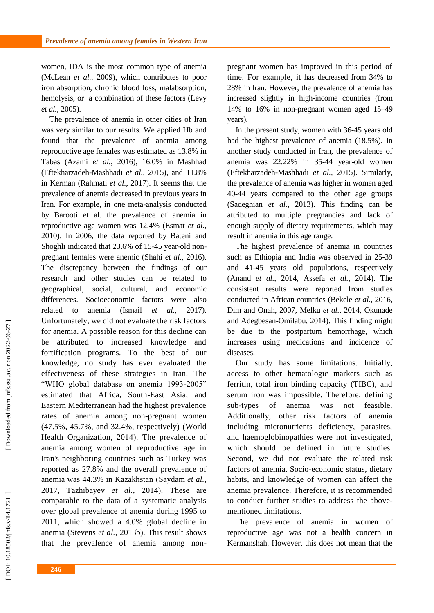women, IDA is the most common type of anemia (McLean *et al.*, 2009), which contributes to poor iron absorption, chronic blood loss, malabsorption, hemolysis , or a combination of these factors (Levy *et al.*, 2005 ) .

The prevalence of anemia in other cities of Iran was very similar to our results. We applied Hb and found that the prevalence of anemia among reproductive age females was estimated as 13.8% in Tabas (Azami *et al.*, 2016 ), 16.0% in Mashhad (Eftekharzadeh -Mashhadi *et al.*, 2015 ), and 11.8% in Kerman (Rahmati *et al.*, 2017 ). It seems that the prevalence of anemia decreased in previous years in Iran. For example, in one meta -analysis conducted by Barooti et al . the prevalence of anemia in reproductive age women was 12.4% (Esmat *et al.*, 2010 ). In 2006, the data reported by Bateni and Shoghli indicated that 23.6% of 15-45 year-old nonpregnant females were anemic (Shahi *et al.*, 2016 ). The discrepancy between the findings of our research and other studies can be related to geographical, social, cultural, and economic differences. Socioeconomic factors were also related to anemia  $(Ismail$  *et al.*,  $2017$ ). Unfortunately, we did not evaluate the risk factors for anemia. A possible reason for this decline can be attributed to increased knowledge and fortification programs. To the best of our knowledge, no study has ever evaluated the effectiveness of these strategies in Iran. The "WHO global database on anemia 1993 -2005" estimated that Africa, South -East Asia, and Eastern Mediterranean had the highest prevalence rates of anemia among non -pregnant women (47.5%, 45.7%, and 32.4%, respectively) (World Health Organization, 2014 ). The prevalence of anemia among women of reproductive age in Iran's neighboring countries such as Turkey was reported as 27.8% and the overall prevalence of anemia was 44.3% in Kazakhstan (Saydam *et al.*, 2017, Tazhibayev *et al.*, 2014 ). These are comparable to the data of a systematic analysis over global prevalence of anemia during 1995 to 2011 , which showed a 4.0% global decline in anemia (Stevens *et al.*, 2013b ). This result shows that the prevalence of anemia among non -

pregnant women has improved in this period of time. For example, it has decreased from 34% to 28% in Iran. However, the prevalence of anemia has increased slightly in high -income countries (from 14% to 16% in non -pregnant women aged 15 –49 years).

In the present study, women with 36 -45 years old had the highest prevalence of anemia (18.5%). In another study conducted in Iran, the prevalence of anemia was 22.22% in 35 -44 year -old women (Eftekharzadeh -Mashhadi *et al.*, 2015 ). Similarly, the prevalence of anemia was higher in women aged 40 -44 years compared to the other age groups (Sadeghian *et al.*, 2013 ). This finding can be attributed to multiple pregnancies and lack of enough supply of dietary requirements , which may result in anemia in this age range.

The highest prevalence of anemia in countries such as Ethiopia and India was observed in 25 -39 and 41 -45 years old population s, respectively (Anand *et al.*, 2014, Assefa *et al.*, 2014 ). The consistent result s were reported from studies conducted in African countries (Bekele *et al.*, 2016, Dim and Onah, 2007, Melku *et al.*, 2014, Okunade and Adegbesan -Omilabu, 2014 ) . This finding might be due to the postpartum hemorrhage, which increase s using medications and incidence of diseases.

Our study has some limitations. Initially, access to other hematologic markers such as ferritin, total iron binding capacity (TIBC), and serum iron was impossible. Therefore, defining sub-types of anemia was not feasible. Additionally, other risk factors of anemia including micronutrients deficiency, parasites, and haemoglobinopathies were not investigated , which should be defined in future studies. Second, we did not evaluate the related risk factors of anemia. Socio -economic status, dietary habits, and knowledge of women can affect the anemia prevalence. Therefore, it is recommended to conduct further studies to address the above mentioned limitations.

The prevalence of anemia in women of reproductive age was not a health concern in Kermanshah. However, this does not mean that the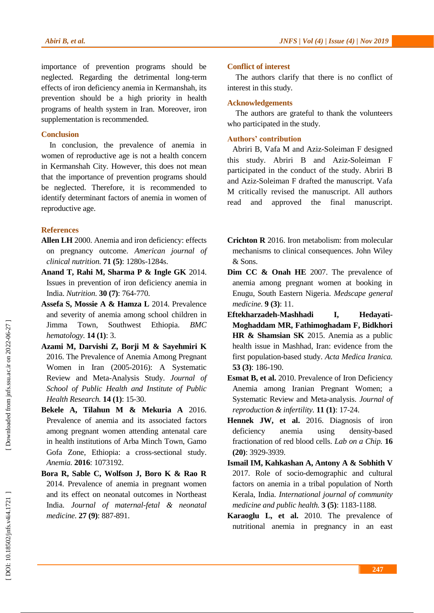importance of prevention programs should be neglected. Regarding the detrimental long -term effects of iron deficiency anemia in Kermanshah, its prevention should be a high priority in health programs of health system in Iran. Moreover, iron supplementation is recommended.

## **Conclusion**

In conclusion, the prevalence of anemia in women of reproductive age is not a health concern in Kermanshah City. However, this does not mean that the importance of prevention programs should be neglected. Therefore, it is recommended to identify determinant factors of anemia in women of reproductive age.

## **References**

- **Allen LH** 2000. Anemia and iron deficiency: effects on pregnancy outcome. *American journal of clinical nutrition.* **71 (5)**: 1280s -1284s.
- **Anand T, Rahi M, Sharma P & Ingle GK** 2014. Issues in prevention of iron deficiency anemia in India. *Nutrition.* **30 (7)**: 764 -770.
- **Assefa S, Mossie A & Hamza L** 2014. Prevalence and severity of anemia among school children in Jimma Town, Southwest Ethiopia. *BMC hematology.* **14 (1)**: 3.
- **Azami M, Darvishi Z, Borji M & Sayehmiri K**  2016. The Prevalence of Anemia Among Pregnant Women in Iran (2005 -2016): A Systematic Review and Meta -Analysis Study. *Journal of School of Public Health and Institute of Public Health Research.* **14 (1)**: 15 -30.
- **Bekele A, Tilahun M & Mekuria A** 2016. Prevalence of anemia and its associated factors among pregnant women attending antenatal care in health institutions of Arba Minch Town, Gamo Gofa Zone, Ethiopia: a cross -sectional study. *Anemia.* **2016**: 1073192.
- **Bora R, Sable C, Wolfson J, Boro K & Rao R**  2014. Prevalence of anemia in pregnant women and its effect on neonatal outcomes in Northeast India. *Journal of maternal -fetal & neonatal medicine.* **27 (9)**: 887 -891.

## **Conflict of interest**

The authors clarify that there is no conflict of interest in this study .

## **Acknowledgements**

The authors are grateful to thank the volunteers who participated in the study.

## **Authors' contribution**

Abriri B, Vafa M and Aziz -Soleiman F designed this study. Abriri B and Aziz -Soleiman F participated in the conduct of the study. Abriri B and Aziz -Soleiman F drafted the manuscript. Vafa M critically revised the manuscript. All authors read and approved the final manuscript.

- **Crichton R** 2016. Iron metabolism: from molecular mechanisms to clinical consequences. John Wiley & Sons.
- **Dim CC & Onah HE** 2007. The prevalence of anemia among pregnant women at booking in Enugu, South Eastern Nigeria. *Medscape general medicine.* **9 (3)**: 11.
- **Eftekharzadeh -Mashhadi I, Hedayati - Moghaddam MR, Fathimoghadam F, Bidkhori HR & Shamsian SK** 2015. Anemia as a public health issue in Mashhad, Iran: evidence from the first population -based study. *Acta Medica Iranica.* **53 (3)**: 186 -190.
- **Esmat B, et al.** 2010. Prevalence of Iron Deficiency Anemia among Iranian Pregnant Women; a Systematic Review and Meta -analysis. *Journal of reproduction & infertility.* **11 (1)**: 17 -24.
- **Hennek JW, et al.** 2016. Diagnosis of iron deficiency anemia using density-based fractionation of red blood cells. *Lab on a Chip.* **16 (20)**: 3929 -3939.
- **Ismail IM, Kahkashan A, Antony A & Sobhith V**  2017. Role of socio -demographic and cultural factors on anemia in a tribal population of North Kerala, India. *International journal of community medicine and public health.* **3 (5)**: 1183 -1188.
- **Karaoglu L, et al.** 2010. The prevalence of nutritional anemia in pregnancy in an east